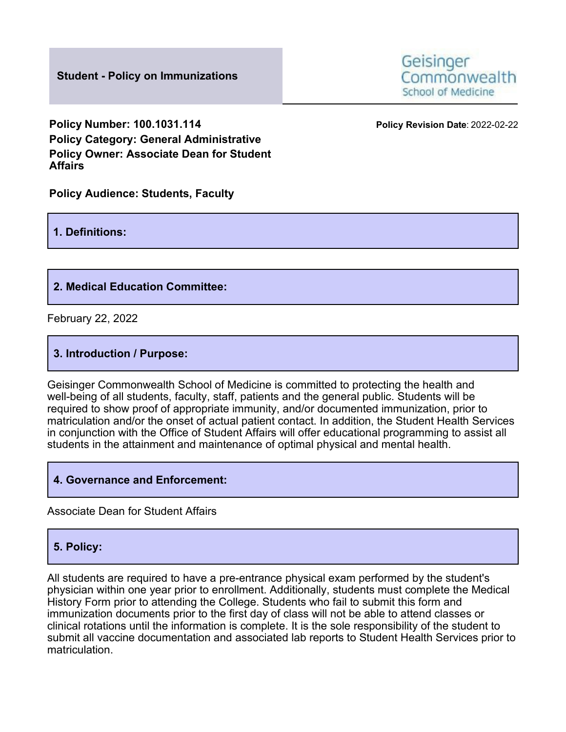**Student - Policy on Immunizations**

Geisinger Commonwealth School of Medicine

**Policy Number: 100.1031.114 Policy Revision Date**: 2022-02-22 **Policy Category: General Administrative Policy Owner: Associate Dean for Student Affairs**

**Policy Audience: Students, Faculty**

### **1. Definitions:**

### **2. Medical Education Committee:**

February 22, 2022

### **3. Introduction / Purpose:**

Geisinger Commonwealth School of Medicine is committed to protecting the health and well-being of all students, faculty, staff, patients and the general public. Students will be required to show proof of appropriate immunity, and/or documented immunization, prior to matriculation and/or the onset of actual patient contact. In addition, the Student Health Services in conjunction with the Office of Student Affairs will offer educational programming to assist all students in the attainment and maintenance of optimal physical and mental health.

### **4. Governance and Enforcement:**

Associate Dean for Student Affairs

### **5. Policy:**

All students are required to have a pre-entrance physical exam performed by the student's physician within one year prior to enrollment. Additionally, students must complete the Medical History Form prior to attending the College. Students who fail to submit this form and immunization documents prior to the first day of class will not be able to attend classes or clinical rotations until the information is complete. It is the sole responsibility of the student to submit all vaccine documentation and associated lab reports to Student Health Services prior to matriculation.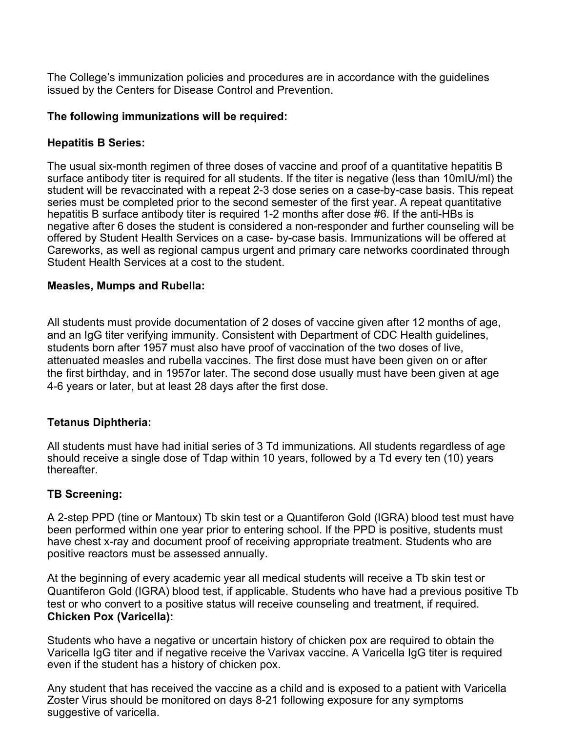The College's immunization policies and procedures are in accordance with the guidelines issued by the Centers for Disease Control and Prevention.

## **The following immunizations will be required:**

## **Hepatitis B Series:**

The usual six-month regimen of three doses of vaccine and proof of a quantitative hepatitis B surface antibody titer is required for all students. If the titer is negative (less than 10mIU/ml) the student will be revaccinated with a repeat 2-3 dose series on a case-by-case basis. This repeat series must be completed prior to the second semester of the first year. A repeat quantitative hepatitis B surface antibody titer is required 1-2 months after dose #6. If the anti-HBs is negative after 6 doses the student is considered a non-responder and further counseling will be offered by Student Health Services on a case- by-case basis. Immunizations will be offered at Careworks, as well as regional campus urgent and primary care networks coordinated through Student Health Services at a cost to the student.

## **Measles, Mumps and Rubella:**

All students must provide documentation of 2 doses of vaccine given after 12 months of age, and an IgG titer verifying immunity. Consistent with Department of CDC Health guidelines, students born after 1957 must also have proof of vaccination of the two doses of live, attenuated measles and rubella vaccines. The first dose must have been given on or after the first birthday, and in 1957or later. The second dose usually must have been given at age 4-6 years or later, but at least 28 days after the first dose.

# **Tetanus Diphtheria:**

All students must have had initial series of 3 Td immunizations. All students regardless of age should receive a single dose of Tdap within 10 years, followed by a Td every ten (10) years **thereafter** 

### **TB Screening:**

A 2-step PPD (tine or Mantoux) Tb skin test or a Quantiferon Gold (IGRA) blood test must have been performed within one year prior to entering school. If the PPD is positive, students must have chest x-ray and document proof of receiving appropriate treatment. Students who are positive reactors must be assessed annually.

At the beginning of every academic year all medical students will receive a Tb skin test or Quantiferon Gold (IGRA) blood test, if applicable. Students who have had a previous positive Tb test or who convert to a positive status will receive counseling and treatment, if required. **Chicken Pox (Varicella):**

Students who have a negative or uncertain history of chicken pox are required to obtain the Varicella IgG titer and if negative receive the Varivax vaccine. A Varicella IgG titer is required even if the student has a history of chicken pox.

Any student that has received the vaccine as a child and is exposed to a patient with Varicella Zoster Virus should be monitored on days 8-21 following exposure for any symptoms suggestive of varicella.